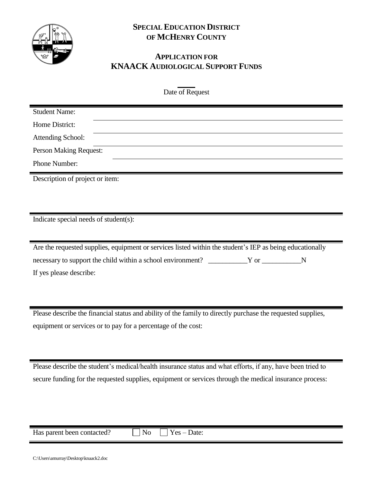

## **SPECIAL EDUCATION DISTRICT OF MCHENRY COUNTY**

## **APPLICATION FOR KNAACK AUDIOLOGICAL SUPPORT FUNDS**

Date of Request

| <b>Student Name:</b>                                                                                                                                                                                                        |
|-----------------------------------------------------------------------------------------------------------------------------------------------------------------------------------------------------------------------------|
| Home District:                                                                                                                                                                                                              |
| <b>Attending School:</b>                                                                                                                                                                                                    |
| <b>Person Making Request:</b>                                                                                                                                                                                               |
| Phone Number:                                                                                                                                                                                                               |
| Description of project or item:                                                                                                                                                                                             |
|                                                                                                                                                                                                                             |
|                                                                                                                                                                                                                             |
| Indicate special needs of student(s):                                                                                                                                                                                       |
|                                                                                                                                                                                                                             |
| Are the requested supplies, equipment or services listed within the student's IEP as being educationally                                                                                                                    |
| necessary to support the child within a school environment? _____________Y or ____________N                                                                                                                                 |
| If yes please describe:                                                                                                                                                                                                     |
|                                                                                                                                                                                                                             |
|                                                                                                                                                                                                                             |
| $A_1$ , and $A_2$ , $B_3$ , and $A_4$ , and $A_5$ , $A_6$ , $A_7$ , $A_8$ , $A_9$ , $A_1$ , $A_2$ , $A_3$ , $A_4$ , $A_5$ , $A_7$ , $A_8$ , $A_9$ , $A_9$ , $A_9$ , $A_9$ , $A_9$ , $A_9$ , $A_9$ , $A_9$ , $A_9$ , $A_9$ , |

Please describe the financial status and ability of the family to directly purchase the requested supplies, equipment or services or to pay for a percentage of the cost:

Please describe the student's medical/health insurance status and what efforts, if any, have been tried to secure funding for the requested supplies, equipment or services through the medical insurance process:

| $ -$<br>heer.<br>parent<br>ттыя<br>leti<br><b>TIOT</b> | nς<br>ै<br>- |  |
|--------------------------------------------------------|--------------|--|